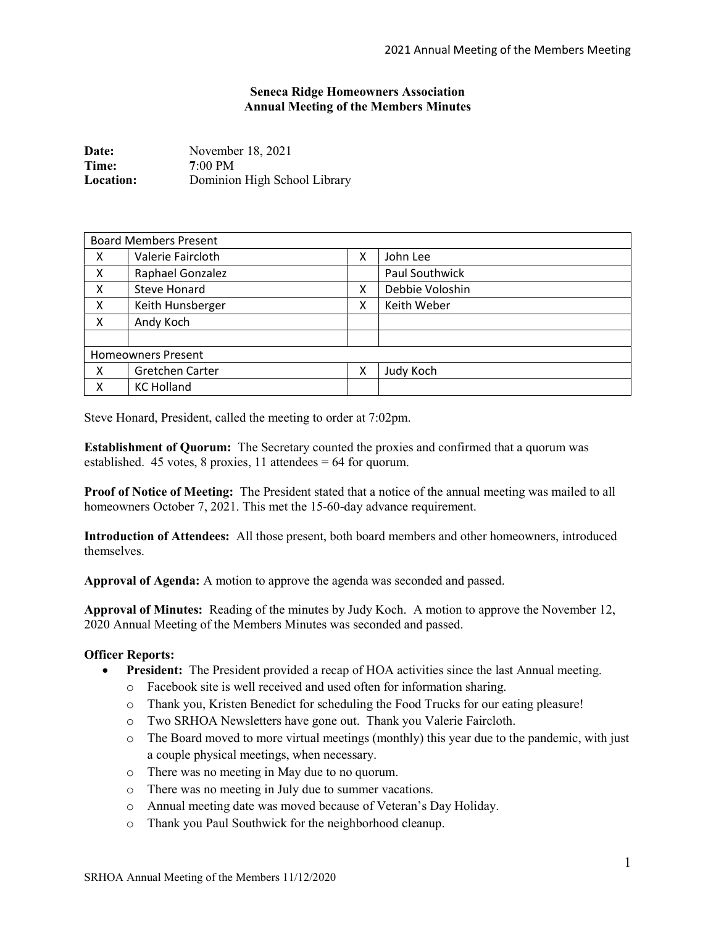## Seneca Ridge Homeowners Association Annual Meeting of the Members Minutes

| Date:            | November 18, 2021            |
|------------------|------------------------------|
| Time:            | $7:00 \text{ PM}$            |
| <b>Location:</b> | Dominion High School Library |

| <b>Board Members Present</b> |                   |   |                 |  |
|------------------------------|-------------------|---|-----------------|--|
| X                            | Valerie Faircloth | x | John Lee        |  |
| x                            | Raphael Gonzalez  |   | Paul Southwick  |  |
| X                            | Steve Honard      | X | Debbie Voloshin |  |
| X                            | Keith Hunsberger  | Χ | Keith Weber     |  |
| X                            | Andy Koch         |   |                 |  |
|                              |                   |   |                 |  |
| <b>Homeowners Present</b>    |                   |   |                 |  |
| X                            | Gretchen Carter   | x | Judy Koch       |  |
| Χ                            | <b>KC Holland</b> |   |                 |  |

Steve Honard, President, called the meeting to order at 7:02pm.

Establishment of Quorum: The Secretary counted the proxies and confirmed that a quorum was established. 45 votes, 8 proxies, 11 attendees = 64 for quorum.

Proof of Notice of Meeting: The President stated that a notice of the annual meeting was mailed to all homeowners October 7, 2021. This met the 15-60-day advance requirement.

Introduction of Attendees: All those present, both board members and other homeowners, introduced themselves.

Approval of Agenda: A motion to approve the agenda was seconded and passed.

Approval of Minutes: Reading of the minutes by Judy Koch. A motion to approve the November 12, 2020 Annual Meeting of the Members Minutes was seconded and passed.

## Officer Reports:

- President: The President provided a recap of HOA activities since the last Annual meeting.
	- o Facebook site is well received and used often for information sharing.
	- o Thank you, Kristen Benedict for scheduling the Food Trucks for our eating pleasure!
	- o Two SRHOA Newsletters have gone out. Thank you Valerie Faircloth.
	- o The Board moved to more virtual meetings (monthly) this year due to the pandemic, with just a couple physical meetings, when necessary.
	- o There was no meeting in May due to no quorum.
	- o There was no meeting in July due to summer vacations.
	- o Annual meeting date was moved because of Veteran's Day Holiday.
	- o Thank you Paul Southwick for the neighborhood cleanup.